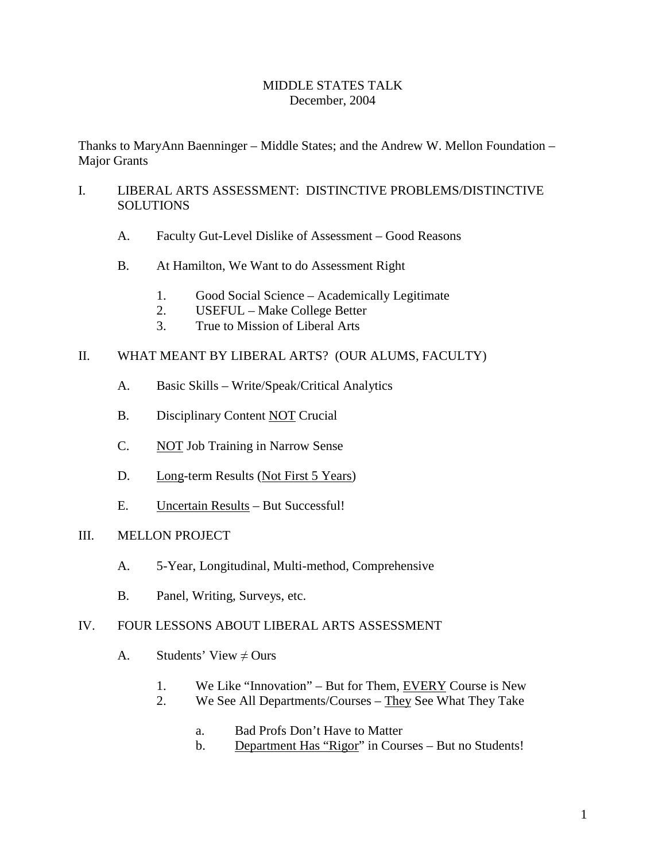# MIDDLE STATES TALK December, 2004

Thanks to MaryAnn Baenninger – Middle States; and the Andrew W. Mellon Foundation – Major Grants

# I. LIBERAL ARTS ASSESSMENT: DISTINCTIVE PROBLEMS/DISTINCTIVE **SOLUTIONS**

- A. Faculty Gut-Level Dislike of Assessment Good Reasons
- B. At Hamilton, We Want to do Assessment Right
	- 1. Good Social Science Academically Legitimate
	- 2. USEFUL Make College Better
	- 3. True to Mission of Liberal Arts

# II. WHAT MEANT BY LIBERAL ARTS? (OUR ALUMS, FACULTY)

- A. Basic Skills Write/Speak/Critical Analytics
- B. Disciplinary Content NOT Crucial
- C. NOT Job Training in Narrow Sense
- D. Long-term Results (Not First 5 Years)
- E. Uncertain Results But Successful!

## III. MELLON PROJECT

- A. 5-Year, Longitudinal, Multi-method, Comprehensive
- B. Panel, Writing, Surveys, etc.

## IV. FOUR LESSONS ABOUT LIBERAL ARTS ASSESSMENT

- A. Students' View  $\neq$  Ours
	- 1. We Like "Innovation" But for Them, EVERY Course is New
	- 2. We See All Departments/Courses They See What They Take
		- a. Bad Profs Don't Have to Matter
		- b. Department Has "Rigor" in Courses But no Students!